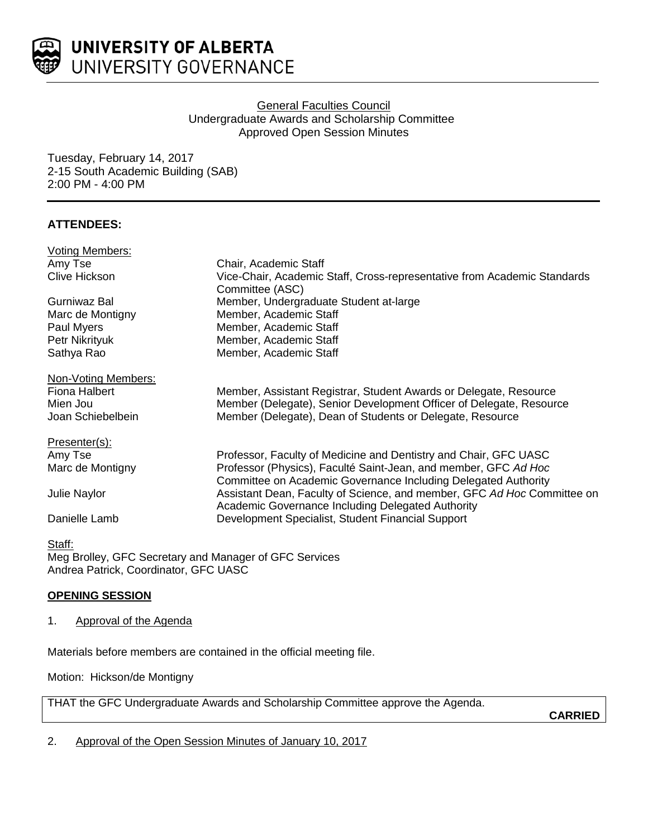

## General Faculties Council Undergraduate Awards and Scholarship Committee Approved Open Session Minutes

Tuesday, February 14, 2017 2-15 South Academic Building (SAB) 2:00 PM - 4:00 PM

## **ATTENDEES:**

| <b>Voting Members:</b> |                                                                                                                                   |
|------------------------|-----------------------------------------------------------------------------------------------------------------------------------|
| Amy Tse                | Chair, Academic Staff                                                                                                             |
| Clive Hickson          | Vice-Chair, Academic Staff, Cross-representative from Academic Standards<br>Committee (ASC)                                       |
| Gurniwaz Bal           | Member, Undergraduate Student at-large                                                                                            |
| Marc de Montigny       | Member, Academic Staff                                                                                                            |
| Paul Myers             | Member, Academic Staff                                                                                                            |
| Petr Nikrityuk         | Member, Academic Staff                                                                                                            |
| Sathya Rao             | Member, Academic Staff                                                                                                            |
| Non-Voting Members:    |                                                                                                                                   |
| Fiona Halbert          | Member, Assistant Registrar, Student Awards or Delegate, Resource                                                                 |
| Mien Jou               | Member (Delegate), Senior Development Officer of Delegate, Resource                                                               |
| Joan Schiebelbein      | Member (Delegate), Dean of Students or Delegate, Resource                                                                         |
| Presenter(s):          |                                                                                                                                   |
| Amy Tse                | Professor, Faculty of Medicine and Dentistry and Chair, GFC UASC                                                                  |
| Marc de Montigny       | Professor (Physics), Faculté Saint-Jean, and member, GFC Ad Hoc<br>Committee on Academic Governance Including Delegated Authority |
| Julie Naylor           | Assistant Dean, Faculty of Science, and member, GFC Ad Hoc Committee on                                                           |
|                        | Academic Governance Including Delegated Authority                                                                                 |
| Danielle Lamb          | Development Specialist, Student Financial Support                                                                                 |
| Staff:                 |                                                                                                                                   |
|                        | Meg Brolley, GFC Secretary and Manager of GFC Services                                                                            |

Andrea Patrick, Coordinator, GFC UASC

#### **OPENING SESSION**

1. Approval of the Agenda

Materials before members are contained in the official meeting file.

Motion: Hickson/de Montigny

THAT the GFC Undergraduate Awards and Scholarship Committee approve the Agenda.

**CARRIED**

2. Approval of the Open Session Minutes of January 10, 2017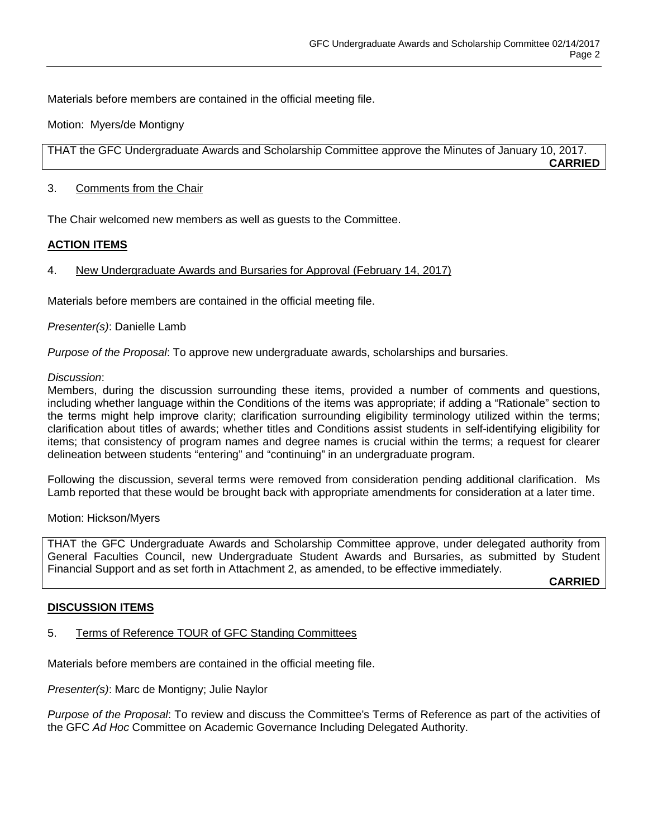Materials before members are contained in the official meeting file.

Motion: Myers/de Montigny

THAT the GFC Undergraduate Awards and Scholarship Committee approve the Minutes of January 10, 2017. **CARRIED**

#### 3. Comments from the Chair

The Chair welcomed new members as well as guests to the Committee.

#### **ACTION ITEMS**

### 4. New Undergraduate Awards and Bursaries for Approval (February 14, 2017)

Materials before members are contained in the official meeting file.

*Presenter(s)*: Danielle Lamb

*Purpose of the Proposal*: To approve new undergraduate awards, scholarships and bursaries.

#### *Discussion*:

Members, during the discussion surrounding these items, provided a number of comments and questions, including whether language within the Conditions of the items was appropriate; if adding a "Rationale" section to the terms might help improve clarity; clarification surrounding eligibility terminology utilized within the terms; clarification about titles of awards; whether titles and Conditions assist students in self-identifying eligibility for items; that consistency of program names and degree names is crucial within the terms; a request for clearer delineation between students "entering" and "continuing" in an undergraduate program.

Following the discussion, several terms were removed from consideration pending additional clarification. Ms Lamb reported that these would be brought back with appropriate amendments for consideration at a later time.

#### Motion: Hickson/Myers

THAT the GFC Undergraduate Awards and Scholarship Committee approve, under delegated authority from General Faculties Council, new Undergraduate Student Awards and Bursaries, as submitted by Student Financial Support and as set forth in Attachment 2, as amended, to be effective immediately.

**CARRIED**

## **DISCUSSION ITEMS**

## 5. Terms of Reference TOUR of GFC Standing Committees

Materials before members are contained in the official meeting file.

*Presenter(s)*: Marc de Montigny; Julie Naylor

*Purpose of the Proposal*: To review and discuss the Committee's Terms of Reference as part of the activities of the GFC *Ad Hoc* Committee on Academic Governance Including Delegated Authority.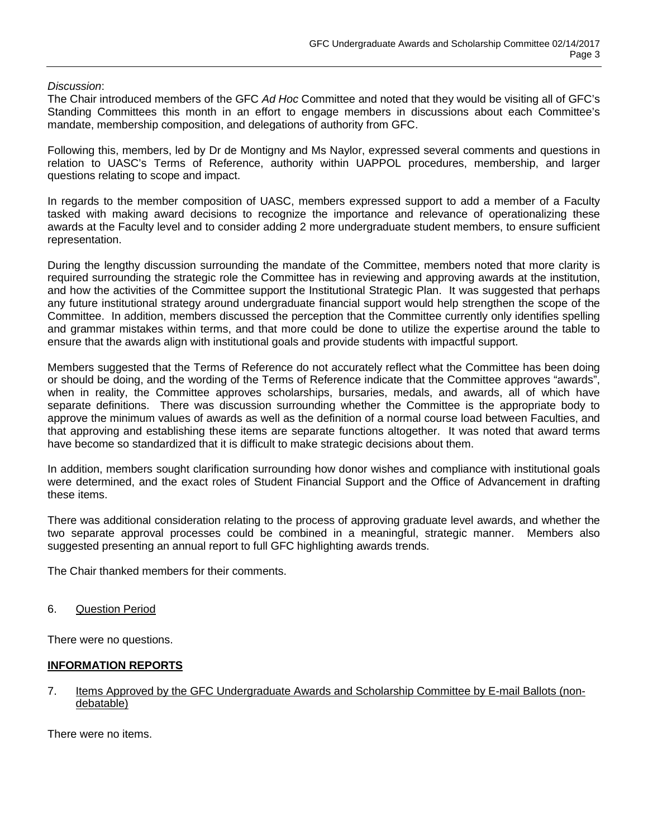#### *Discussion*:

The Chair introduced members of the GFC *Ad Hoc* Committee and noted that they would be visiting all of GFC's Standing Committees this month in an effort to engage members in discussions about each Committee's mandate, membership composition, and delegations of authority from GFC.

Following this, members, led by Dr de Montigny and Ms Naylor, expressed several comments and questions in relation to UASC's Terms of Reference, authority within UAPPOL procedures, membership, and larger questions relating to scope and impact.

In regards to the member composition of UASC, members expressed support to add a member of a Faculty tasked with making award decisions to recognize the importance and relevance of operationalizing these awards at the Faculty level and to consider adding 2 more undergraduate student members, to ensure sufficient representation.

During the lengthy discussion surrounding the mandate of the Committee, members noted that more clarity is required surrounding the strategic role the Committee has in reviewing and approving awards at the institution, and how the activities of the Committee support the Institutional Strategic Plan. It was suggested that perhaps any future institutional strategy around undergraduate financial support would help strengthen the scope of the Committee. In addition, members discussed the perception that the Committee currently only identifies spelling and grammar mistakes within terms, and that more could be done to utilize the expertise around the table to ensure that the awards align with institutional goals and provide students with impactful support.

Members suggested that the Terms of Reference do not accurately reflect what the Committee has been doing or should be doing, and the wording of the Terms of Reference indicate that the Committee approves "awards", when in reality, the Committee approves scholarships, bursaries, medals, and awards, all of which have separate definitions. There was discussion surrounding whether the Committee is the appropriate body to approve the minimum values of awards as well as the definition of a normal course load between Faculties, and that approving and establishing these items are separate functions altogether. It was noted that award terms have become so standardized that it is difficult to make strategic decisions about them.

In addition, members sought clarification surrounding how donor wishes and compliance with institutional goals were determined, and the exact roles of Student Financial Support and the Office of Advancement in drafting these items.

There was additional consideration relating to the process of approving graduate level awards, and whether the two separate approval processes could be combined in a meaningful, strategic manner. Members also suggested presenting an annual report to full GFC highlighting awards trends.

The Chair thanked members for their comments.

6. Question Period

There were no questions.

#### **INFORMATION REPORTS**

7. Items Approved by the GFC Undergraduate Awards and Scholarship Committee by E-mail Ballots (nondebatable)

There were no items.